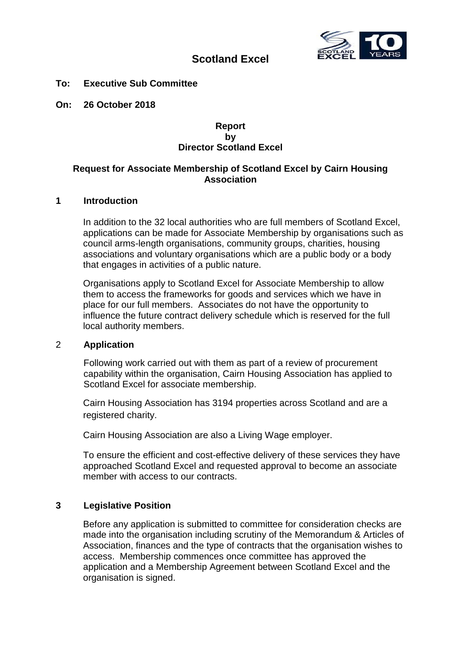

# **Scotland Excel**

#### **To: Executive Sub Committee**

**On: 26 October 2018**

#### **Report by Director Scotland Excel**

### **Request for Associate Membership of Scotland Excel by Cairn Housing Association**

#### **1 Introduction**

In addition to the 32 local authorities who are full members of Scotland Excel, applications can be made for Associate Membership by organisations such as council arms-length organisations, community groups, charities, housing associations and voluntary organisations which are a public body or a body that engages in activities of a public nature.

Organisations apply to Scotland Excel for Associate Membership to allow them to access the frameworks for goods and services which we have in place for our full members. Associates do not have the opportunity to influence the future contract delivery schedule which is reserved for the full local authority members.

#### 2 **Application**

Following work carried out with them as part of a review of procurement capability within the organisation, Cairn Housing Association has applied to Scotland Excel for associate membership.

Cairn Housing Association has 3194 properties across Scotland and are a registered charity.

Cairn Housing Association are also a Living Wage employer.

To ensure the efficient and cost-effective delivery of these services they have approached Scotland Excel and requested approval to become an associate member with access to our contracts.

### **3 Legislative Position**

Before any application is submitted to committee for consideration checks are made into the organisation including scrutiny of the Memorandum & Articles of Association, finances and the type of contracts that the organisation wishes to access. Membership commences once committee has approved the application and a Membership Agreement between Scotland Excel and the organisation is signed.